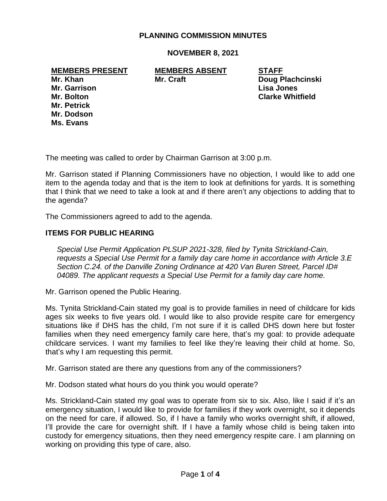## **PLANNING COMMISSION MINUTES**

**NOVEMBER 8, 2021**

**MEMBERS PRESENT MEMBERS ABSENT STAFF**

**Mr. Garrison Lisa Jones Mr. Petrick Mr. Dodson Ms. Evans**

**Mr. Khan Mr. Craft Doug Plachcinski Mr. Bolton Clarke Whitfield**

The meeting was called to order by Chairman Garrison at 3:00 p.m.

Mr. Garrison stated if Planning Commissioners have no objection, I would like to add one item to the agenda today and that is the item to look at definitions for yards. It is something that I think that we need to take a look at and if there aren't any objections to adding that to the agenda?

The Commissioners agreed to add to the agenda.

#### **ITEMS FOR PUBLIC HEARING**

*Special Use Permit Application PLSUP 2021-328, filed by Tynita Strickland-Cain, requests a Special Use Permit for a family day care home in accordance with Article 3.E Section C.24. of the Danville Zoning Ordinance at 420 Van Buren Street, Parcel ID# 04089. The applicant requests a Special Use Permit for a family day care home.*

Mr. Garrison opened the Public Hearing.

Ms. Tynita Strickland-Cain stated my goal is to provide families in need of childcare for kids ages six weeks to five years old. I would like to also provide respite care for emergency situations like if DHS has the child, I'm not sure if it is called DHS down here but foster families when they need emergency family care here, that's my goal: to provide adequate childcare services. I want my families to feel like they're leaving their child at home. So, that's why I am requesting this permit.

Mr. Garrison stated are there any questions from any of the commissioners?

Mr. Dodson stated what hours do you think you would operate?

Ms. Strickland-Cain stated my goal was to operate from six to six. Also, like I said if it's an emergency situation, I would like to provide for families if they work overnight, so it depends on the need for care, if allowed. So, if I have a family who works overnight shift, if allowed, I'll provide the care for overnight shift. If I have a family whose child is being taken into custody for emergency situations, then they need emergency respite care. I am planning on working on providing this type of care, also.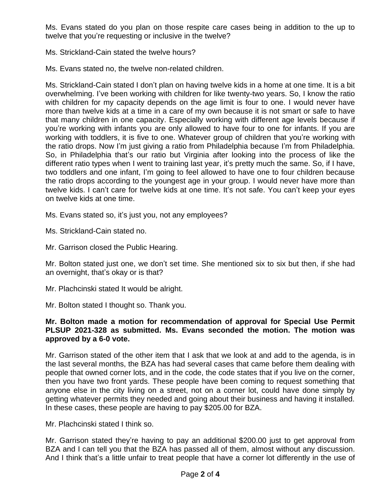Ms. Evans stated do you plan on those respite care cases being in addition to the up to twelve that you're requesting or inclusive in the twelve?

Ms. Strickland-Cain stated the twelve hours?

Ms. Evans stated no, the twelve non-related children.

Ms. Strickland-Cain stated I don't plan on having twelve kids in a home at one time. It is a bit overwhelming. I've been working with children for like twenty-two years. So, I know the ratio with children for my capacity depends on the age limit is four to one. I would never have more than twelve kids at a time in a care of my own because it is not smart or safe to have that many children in one capacity. Especially working with different age levels because if you're working with infants you are only allowed to have four to one for infants. If you are working with toddlers, it is five to one. Whatever group of children that you're working with the ratio drops. Now I'm just giving a ratio from Philadelphia because I'm from Philadelphia. So, in Philadelphia that's our ratio but Virginia after looking into the process of like the different ratio types when I went to training last year, it's pretty much the same. So, if I have, two toddlers and one infant, I'm going to feel allowed to have one to four children because the ratio drops according to the youngest age in your group. I would never have more than twelve kids. I can't care for twelve kids at one time. It's not safe. You can't keep your eyes on twelve kids at one time.

Ms. Evans stated so, it's just you, not any employees?

Ms. Strickland-Cain stated no.

Mr. Garrison closed the Public Hearing.

Mr. Bolton stated just one, we don't set time. She mentioned six to six but then, if she had an overnight, that's okay or is that?

Mr. Plachcinski stated It would be alright.

Mr. Bolton stated I thought so. Thank you.

## **Mr. Bolton made a motion for recommendation of approval for Special Use Permit PLSUP 2021-328 as submitted. Ms. Evans seconded the motion. The motion was approved by a 6-0 vote.**

Mr. Garrison stated of the other item that I ask that we look at and add to the agenda, is in the last several months, the BZA has had several cases that came before them dealing with people that owned corner lots, and in the code, the code states that if you live on the corner, then you have two front yards. These people have been coming to request something that anyone else in the city living on a street, not on a corner lot, could have done simply by getting whatever permits they needed and going about their business and having it installed. In these cases, these people are having to pay \$205.00 for BZA.

Mr. Plachcinski stated I think so.

Mr. Garrison stated they're having to pay an additional \$200.00 just to get approval from BZA and I can tell you that the BZA has passed all of them, almost without any discussion. And I think that's a little unfair to treat people that have a corner lot differently in the use of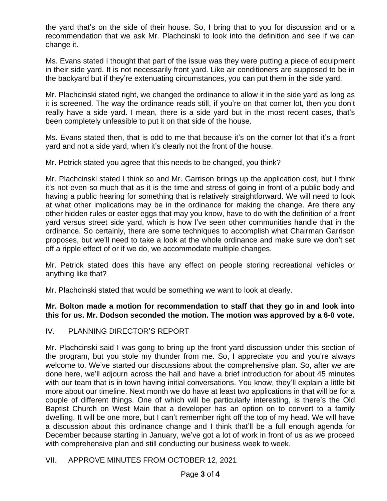the yard that's on the side of their house. So, I bring that to you for discussion and or a recommendation that we ask Mr. Plachcinski to look into the definition and see if we can change it.

Ms. Evans stated I thought that part of the issue was they were putting a piece of equipment in their side yard. It is not necessarily front yard. Like air conditioners are supposed to be in the backyard but if they're extenuating circumstances, you can put them in the side yard.

Mr. Plachcinski stated right, we changed the ordinance to allow it in the side yard as long as it is screened. The way the ordinance reads still, if you're on that corner lot, then you don't really have a side yard. I mean, there is a side yard but in the most recent cases, that's been completely unfeasible to put it on that side of the house.

Ms. Evans stated then, that is odd to me that because it's on the corner lot that it's a front yard and not a side yard, when it's clearly not the front of the house.

Mr. Petrick stated you agree that this needs to be changed, you think?

Mr. Plachcinski stated I think so and Mr. Garrison brings up the application cost, but I think it's not even so much that as it is the time and stress of going in front of a public body and having a public hearing for something that is relatively straightforward. We will need to look at what other implications may be in the ordinance for making the change. Are there any other hidden rules or easter eggs that may you know, have to do with the definition of a front yard versus street side yard, which is how I've seen other communities handle that in the ordinance. So certainly, there are some techniques to accomplish what Chairman Garrison proposes, but we'll need to take a look at the whole ordinance and make sure we don't set off a ripple effect of or if we do, we accommodate multiple changes.

Mr. Petrick stated does this have any effect on people storing recreational vehicles or anything like that?

Mr. Plachcinski stated that would be something we want to look at clearly.

**Mr. Bolton made a motion for recommendation to staff that they go in and look into this for us. Mr. Dodson seconded the motion. The motion was approved by a 6-0 vote.**

IV. PLANNING DIRECTOR'S REPORT

Mr. Plachcinski said I was gong to bring up the front yard discussion under this section of the program, but you stole my thunder from me. So, I appreciate you and you're always welcome to. We've started our discussions about the comprehensive plan. So, after we are done here, we'll adjourn across the hall and have a brief introduction for about 45 minutes with our team that is in town having initial conversations. You know, they'll explain a little bit more about our timeline. Next month we do have at least two applications in that will be for a couple of different things. One of which will be particularly interesting, is there's the Old Baptist Church on West Main that a developer has an option on to convert to a family dwelling. It will be one more, but I can't remember right off the top of my head. We will have a discussion about this ordinance change and I think that'll be a full enough agenda for December because starting in January, we've got a lot of work in front of us as we proceed with comprehensive plan and still conducting our business week to week.

## VII. APPROVE MINUTES FROM OCTOBER 12, 2021